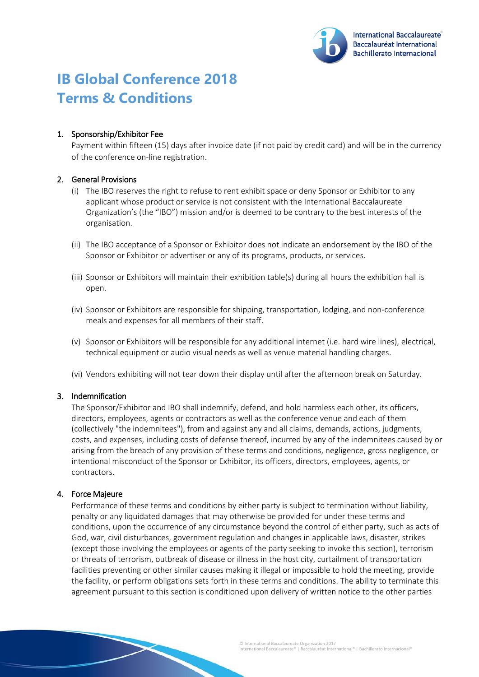

# **IB Global Conference 2018 Terms & Conditions**

## 1. Sponsorship/Exhibitor Fee

Payment within fifteen (15) days after invoice date (if not paid by credit card) and will be in the currency of the conference on-line registration.

### 2. General Provisions

- (i) The IBO reserves the right to refuse to rent exhibit space or deny Sponsor or Exhibitor to any applicant whose product or service is not consistent with the International Baccalaureate Organization's (the "IBO") mission and/or is deemed to be contrary to the best interests of the organisation.
- (ii) The IBO acceptance of a Sponsor or Exhibitor does not indicate an endorsement by the IBO of the Sponsor or Exhibitor or advertiser or any of its programs, products, or services.
- (iii) Sponsor or Exhibitors will maintain their exhibition table(s) during all hours the exhibition hall is open.
- (iv) Sponsor or Exhibitors are responsible for shipping, transportation, lodging, and non-conference meals and expenses for all members of their staff.
- (v) Sponsor or Exhibitors will be responsible for any additional internet (i.e. hard wire lines), electrical, technical equipment or audio visual needs as well as venue material handling charges.
- (vi) Vendors exhibiting will not tear down their display until after the afternoon break on Saturday.

#### 3. Indemnification

The Sponsor/Exhibitor and IBO shall indemnify, defend, and hold harmless each other, its officers, directors, employees, agents or contractors as well as the conference venue and each of them (collectively "the indemnitees"), from and against any and all claims, demands, actions, judgments, costs, and expenses, including costs of defense thereof, incurred by any of the indemnitees caused by or arising from the breach of any provision of these terms and conditions, negligence, gross negligence, or intentional misconduct of the Sponsor or Exhibitor, its officers, directors, employees, agents, or contractors.

#### 4. Force Majeure

Performance of these terms and conditions by either party is subject to termination without liability, penalty or any liquidated damages that may otherwise be provided for under these terms and conditions, upon the occurrence of any circumstance beyond the control of either party, such as acts of God, war, civil disturbances, government regulation and changes in applicable laws, disaster, strikes (except those involving the employees or agents of the party seeking to invoke this section), terrorism or threats of terrorism, outbreak of disease or illness in the host city, curtailment of transportation facilities preventing or other similar causes making it illegal or impossible to hold the meeting, provide the facility, or perform obligations sets forth in these terms and conditions. The ability to terminate this agreement pursuant to this section is conditioned upon delivery of written notice to the other parties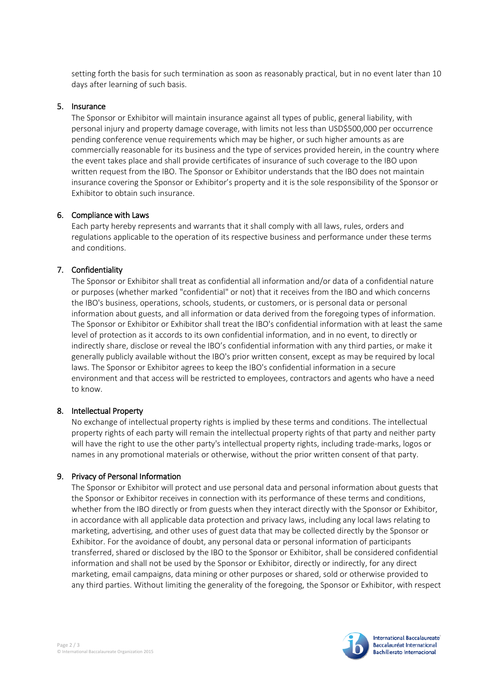setting forth the basis for such termination as soon as reasonably practical, but in no event later than 10 days after learning of such basis.

### 5. Insurance

The Sponsor or Exhibitor will maintain insurance against all types of public, general liability, with personal injury and property damage coverage, with limits not less than USD\$500,000 per occurrence pending conference venue requirements which may be higher, or such higher amounts as are commercially reasonable for its business and the type of services provided herein, in the country where the event takes place and shall provide certificates of insurance of such coverage to the IBO upon written request from the IBO. The Sponsor or Exhibitor understands that the IBO does not maintain insurance covering the Sponsor or Exhibitor's property and it is the sole responsibility of the Sponsor or Exhibitor to obtain such insurance.

### 6. Compliance with Laws

Each party hereby represents and warrants that it shall comply with all laws, rules, orders and regulations applicable to the operation of its respective business and performance under these terms and conditions.

## 7. Confidentiality

The Sponsor or Exhibitor shall treat as confidential all information and/or data of a confidential nature or purposes (whether marked "confidential" or not) that it receives from the IBO and which concerns the IBO's business, operations, schools, students, or customers, or is personal data or personal information about guests, and all information or data derived from the foregoing types of information. The Sponsor or Exhibitor or Exhibitor shall treat the IBO's confidential information with at least the same level of protection as it accords to its own confidential information, and in no event, to directly or indirectly share, disclose or reveal the IBO's confidential information with any third parties, or make it generally publicly available without the IBO's prior written consent, except as may be required by local laws. The Sponsor or Exhibitor agrees to keep the IBO's confidential information in a secure environment and that access will be restricted to employees, contractors and agents who have a need to know.

## 8. Intellectual Property

No exchange of intellectual property rights is implied by these terms and conditions. The intellectual property rights of each party will remain the intellectual property rights of that party and neither party will have the right to use the other party's intellectual property rights, including trade-marks, logos or names in any promotional materials or otherwise, without the prior written consent of that party.

## 9. Privacy of Personal Information

The Sponsor or Exhibitor will protect and use personal data and personal information about guests that the Sponsor or Exhibitor receives in connection with its performance of these terms and conditions, whether from the IBO directly or from guests when they interact directly with the Sponsor or Exhibitor, in accordance with all applicable data protection and privacy laws, including any local laws relating to marketing, advertising, and other uses of guest data that may be collected directly by the Sponsor or Exhibitor. For the avoidance of doubt, any personal data or personal information of participants transferred, shared or disclosed by the IBO to the Sponsor or Exhibitor, shall be considered confidential information and shall not be used by the Sponsor or Exhibitor, directly or indirectly, for any direct marketing, email campaigns, data mining or other purposes or shared, sold or otherwise provided to any third parties. Without limiting the generality of the foregoing, the Sponsor or Exhibitor, with respect



**International Baccalaureate Baccalauréat International Bachillerato Internacional**